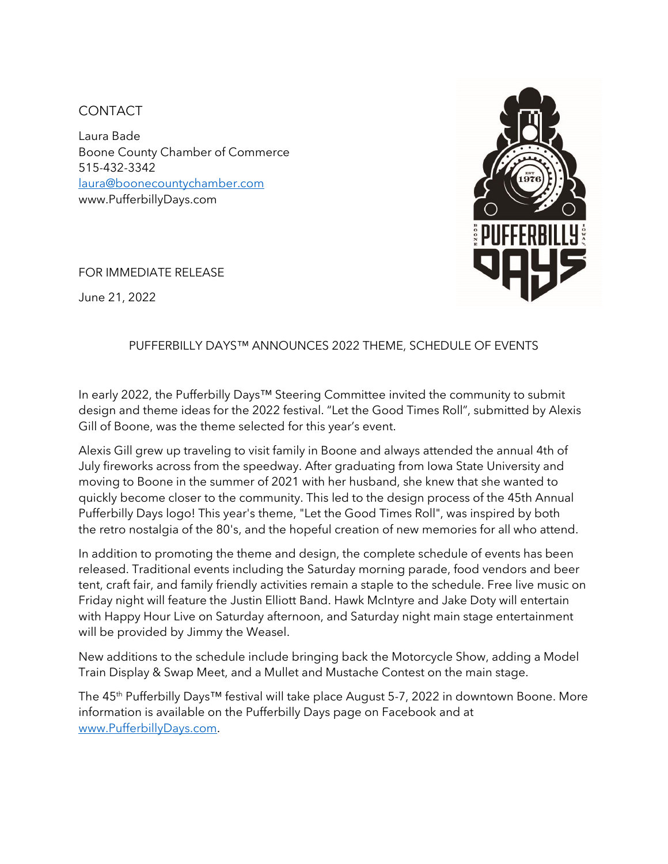## **CONTACT**

Laura Bade Boone County Chamber of Commerce 515-432-3342 [laura@boonecountychamber.com](mailto:laura@boonecountychamber.com) www.PufferbillyDays.com



FOR IMMEDIATE RELEASE

June 21, 2022

## PUFFERBILLY DAYS™ ANNOUNCES 2022 THEME, SCHEDULE OF EVENTS

In early 2022, the Pufferbilly Days™ Steering Committee invited the community to submit design and theme ideas for the 2022 festival. "Let the Good Times Roll", submitted by Alexis Gill of Boone, was the theme selected for this year's event.

Alexis Gill grew up traveling to visit family in Boone and always attended the annual 4th of July fireworks across from the speedway. After graduating from Iowa State University and moving to Boone in the summer of 2021 with her husband, she knew that she wanted to quickly become closer to the community. This led to the design process of the 45th Annual Pufferbilly Days logo! This year's theme, "Let the Good Times Roll", was inspired by both the retro nostalgia of the 80's, and the hopeful creation of new memories for all who attend.

In addition to promoting the theme and design, the complete schedule of events has been released. Traditional events including the Saturday morning parade, food vendors and beer tent, craft fair, and family friendly activities remain a staple to the schedule. Free live music on Friday night will feature the Justin Elliott Band. Hawk McIntyre and Jake Doty will entertain with Happy Hour Live on Saturday afternoon, and Saturday night main stage entertainment will be provided by Jimmy the Weasel.

New additions to the schedule include bringing back the Motorcycle Show, adding a Model Train Display & Swap Meet, and a Mullet and Mustache Contest on the main stage.

The 45<sup>th</sup> Pufferbilly Days<sup>™</sup> festival will take place August 5-7, 2022 in downtown Boone. More information is available on the Pufferbilly Days page on Facebook and at [www.PufferbillyDays.com.](http://www.pufferbillydays.com/)